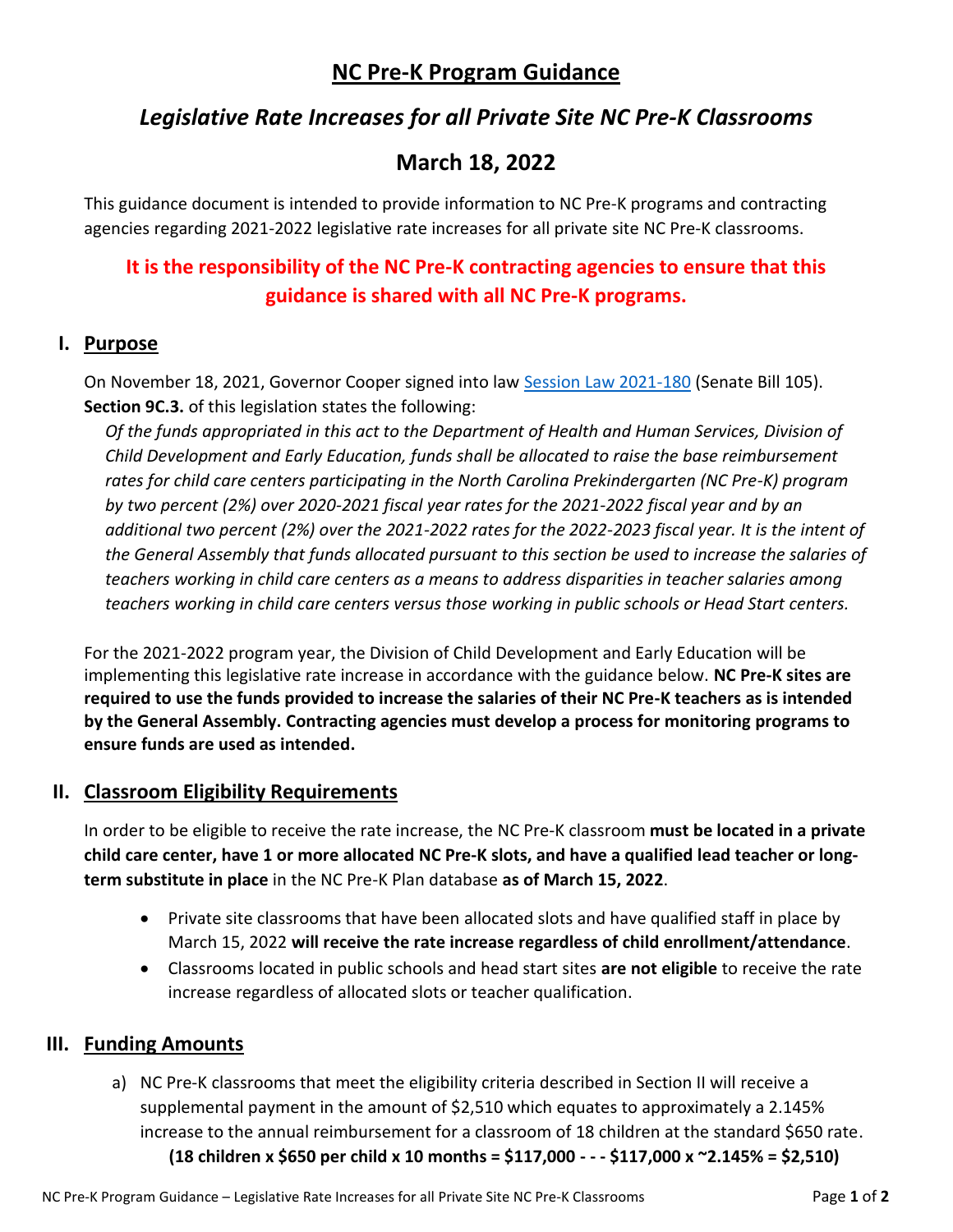## **NC Pre-K Program Guidance**

# *Legislative Rate Increases for all Private Site NC Pre-K Classrooms*

# **March 18, 2022**

This guidance document is intended to provide information to NC Pre-K programs and contracting agencies regarding 2021-2022 legislative rate increases for all private site NC Pre-K classrooms.

# **It is the responsibility of the NC Pre-K contracting agencies to ensure that this guidance is shared with all NC Pre-K programs.**

### **I. Purpose**

On November 18, 2021, Governor Cooper signed into law [Session Law 2021-180](https://www.ncleg.gov/Sessions/2021/Bills/Senate/PDF/S105v8.pdf) (Senate Bill 105). **Section 9C.3.** of this legislation states the following:

*Of the funds appropriated in this act to the Department of Health and Human Services, Division of Child Development and Early Education, funds shall be allocated to raise the base reimbursement rates for child care centers participating in the North Carolina Prekindergarten (NC Pre-K) program by two percent (2%) over 2020-2021 fiscal year rates for the 2021-2022 fiscal year and by an additional two percent (2%) over the 2021-2022 rates for the 2022-2023 fiscal year. It is the intent of the General Assembly that funds allocated pursuant to this section be used to increase the salaries of teachers working in child care centers as a means to address disparities in teacher salaries among teachers working in child care centers versus those working in public schools or Head Start centers.*

For the 2021-2022 program year, the Division of Child Development and Early Education will be implementing this legislative rate increase in accordance with the guidance below. **NC Pre-K sites are required to use the funds provided to increase the salaries of their NC Pre-K teachers as is intended by the General Assembly. Contracting agencies must develop a process for monitoring programs to ensure funds are used as intended.**

#### **II. Classroom Eligibility Requirements**

In order to be eligible to receive the rate increase, the NC Pre-K classroom **must be located in a private child care center, have 1 or more allocated NC Pre-K slots, and have a qualified lead teacher or longterm substitute in place** in the NC Pre-K Plan database **as of March 15, 2022**.

- Private site classrooms that have been allocated slots and have qualified staff in place by March 15, 2022 **will receive the rate increase regardless of child enrollment/attendance**.
- Classrooms located in public schools and head start sites **are not eligible** to receive the rate increase regardless of allocated slots or teacher qualification.

#### **III. Funding Amounts**

a) NC Pre-K classrooms that meet the eligibility criteria described in Section II will receive a supplemental payment in the amount of \$2,510 which equates to approximately a 2.145% increase to the annual reimbursement for a classroom of 18 children at the standard \$650 rate. **(18 children x \$650 per child x 10 months = \$117,000 - - - \$117,000 x ~2.145% = \$2,510)**